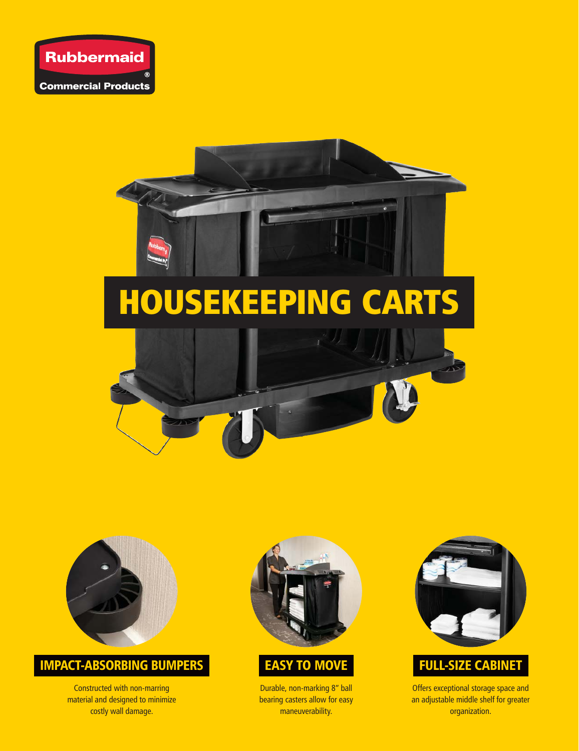



# HOUSEKEEPING CARTS





#### IMPACT-ABSORBING BUMPERS

Constructed with non-marring material and designed to minimize costly wall damage.





Durable, non-marking 8" ball bearing casters allow for easy maneuverability.



## FULL-SIZE CABINET

Offers exceptional storage space and an adjustable middle shelf for greater organization.